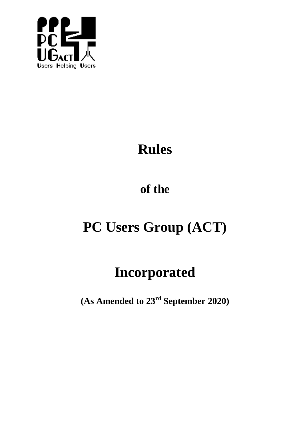

# **Rules**

## **of the**

## **PC Users Group (ACT)**

## **Incorporated**

**(As Amended to 23 rd September 2020)**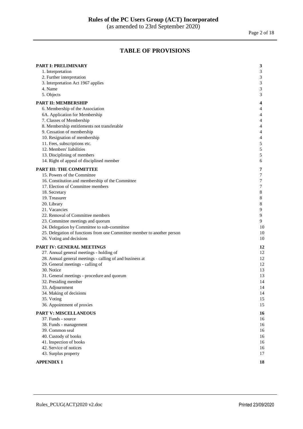Page 2 of 18

## **TABLE OF PROVISIONS**

| <b>PART I: PRELIMINARY</b>                                              | 3                           |
|-------------------------------------------------------------------------|-----------------------------|
| 1. Interpretation                                                       | 3                           |
| 2. Further interpretation                                               | $\ensuremath{\mathfrak{Z}}$ |
| 3. Interpretation Act 1967 applies                                      | $\ensuremath{\mathfrak{Z}}$ |
| 4. Name                                                                 | $\sqrt{3}$                  |
| 5. Objects                                                              | $\mathfrak{Z}$              |
| PART II: MEMBERSHIP                                                     | 4                           |
| 6. Membership of the Association                                        | 4                           |
| 6A. Application for Membership                                          | 4                           |
| 7. Classes of Membership                                                | 4                           |
| 8. Membership entitlements not transferable                             | 4                           |
| 9. Cessation of membership                                              | 4                           |
| 10. Resignation of membership                                           | $\overline{4}$              |
| 11. Fees, subscriptions etc.                                            | 5                           |
| 12. Members' liabilities                                                | $\sqrt{5}$                  |
| 13. Disciplining of members                                             | 5                           |
| 14. Right of appeal of disciplined member                               | 6                           |
| <b>PART III: THE COMMITTEE</b>                                          | 7                           |
| 15. Powers of the Committee                                             | 7                           |
| 16. Constitution and membership of the Committee                        | $\boldsymbol{7}$            |
| 17. Election of Committee members                                       | $\boldsymbol{7}$            |
| 18. Secretary                                                           | $\,$ 8 $\,$                 |
| 19. Treasurer                                                           | $\,$ 8 $\,$                 |
| 20. Library                                                             | $\,$ 8 $\,$                 |
| 21. Vacancies                                                           | $\boldsymbol{9}$            |
| 22. Removal of Committee members                                        | $\boldsymbol{9}$            |
| 23. Committee meetings and quorum                                       | 9                           |
| 24. Delegation by Committee to sub-committee                            | 10                          |
| 25. Delegation of functions from one Committee member to another person | 10                          |
| 26. Voting and decisions                                                | 10                          |
| PART IV: GENERAL MEETINGS                                               | 12                          |
| 27. Annual general meetings - holding of                                | 12                          |
| 28. Annual general meetings - calling of and business at                | 12                          |
| 29. General meetings - calling of                                       | 12                          |
| 30. Notice                                                              | 13                          |
| 31. General meetings - procedure and quorum                             | 13                          |
| 32. Presiding member                                                    | 14                          |
| 33. Adjournment                                                         | 14                          |
| 34. Making of decisions                                                 | 14                          |
| 35. Voting                                                              | 15                          |
| 36. Appointment of proxies                                              | 15                          |
| <b>PART V: MISCELLANEOUS</b>                                            | 16                          |
| 37. Funds - source                                                      | 16                          |
| 38. Funds - management                                                  | 16                          |
| 39. Common seal                                                         | 16                          |
| 40. Custody of books                                                    | 16                          |
| 41. Inspection of books                                                 | 16                          |
| 42. Service of notices                                                  | 16                          |
| 43. Surplus property                                                    | 17                          |
| <b>APPENDIX1</b>                                                        | 18                          |
|                                                                         |                             |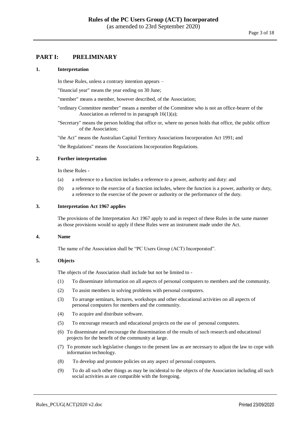#### <span id="page-2-0"></span>**PART I: PRELIMINARY**

#### **1. Interpretation**

In these Rules, unless a contrary intention appears –

"financial year" means the year ending on 30 June;

"member" means a member, however described, of the Association;

"ordinary Committee member" means a member of the Committee who is not an office-bearer of the Association as referred to in paragraph  $16(1)(a)$ ;

"Secretary" means the person holding that office or, where no person holds that office, the public officer of the Association;

"the Act" means the Australian Capital Territory Associations Incorporation Act 1991; and

"the Regulations" means the Associations Incorporation Regulations.

#### **2. Further interpretation**

In these Rules -

- (a) a reference to a function includes a reference to a power, authority and duty: and
- (b) a reference to the exercise of a function includes, where the function is a power, authority or duty, a reference to the exercise of the power or authority or the performance of the duty.

#### **3. Interpretation Act 1967 applies**

The provisions of the Interpretation Act 1967 apply to and in respect of these Rules in the same manner as those provisions would so apply if these Rules were an instrument made under the Act.

#### **4. Name**

The name of the Association shall be "PC Users Group (ACT) Incorporated".

#### **5. Objects**

The objects of the Association shall include but not be limited to -

- (1) To disseminate information on all aspects of personal computers to members and the community.
- (2) To assist members in solving problems with personal computers.
- (3) To arrange seminars, lectures, workshops and other educational activities on all aspects of personal computers for members and the community.
- (4) To acquire and distribute software.
- (5) To encourage research and educational projects on the use of personal computers.
- (6) To disseminate and encourage the dissemination of the results of such research and educational projects for the benefit of the community at large.
- (7) To promote such legislative changes to the present law as are necessary to adjust the law to cope with information technology.
- (8) To develop and promote policies on any aspect of personal computers.
- (9) To do all such other things as may be incidental to the objects of the Association including all such social activities as are compatible with the foregoing.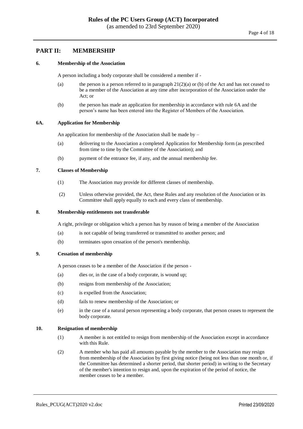### <span id="page-3-0"></span>**PART II: MEMBERSHIP**

#### **6. Membership of the Association**

A person including a body corporate shall be considered a member if -

- (a) the person is a person referred to in paragraph  $21(2)(a)$  or (b) of the Act and has not ceased to be a member of the Association at any time after incorporation of the Association under the Act; or
- (b) the person has made an application for membership in accordance with rule 6A and the person's name has been entered into the Register of Members of the Association.

#### <span id="page-3-1"></span>**6A. Application for Membership**

An application for membership of the Association shall be made by –

- (a) delivering to the Association a completed Application for Membership form (as prescribed from time to time by the Committee of the Association); and
- (b) payment of the entrance fee, if any, and the annual membership fee.

#### **7. Classes of Membership**

- (1) The Association may provide for different classes of membership.
- (2) Unless otherwise provided, the Act, these Rules and any resolution of the Association or its Committee shall apply equally to each and every class of membership.

#### **8. Membership entitlements not transferable**

A right, privilege or obligation which a person has by reason of being a member of the Association

- (a) is not capable of being transferred or transmitted to another person; and
- (b) terminates upon cessation of the person's membership.

#### **9. Cessation of membership**

A person ceases to be a member of the Association if the person -

- (a) dies or, in the case of a body corporate, is wound up;
- (b) resigns from membership of the Association;
- (c) is expelled from the Association;
- (d) fails to renew membership of the Association; or
- (e) in the case of a natural person representing a body corporate, that person ceases to represent the body corporate.

#### **10. Resignation of membership**

- (1) A member is not entitled to resign from membership of the Association except in accordance with this Rule.
- (2) A member who has paid all amounts payable by the member to the Association may resign from membership of the Association by first giving notice (being not less than one month or, if the Committee has determined a shorter period, that shorter period) in writing to the Secretary of the member's intention to resign and, upon the expiration of the period of notice, the member ceases to be a member.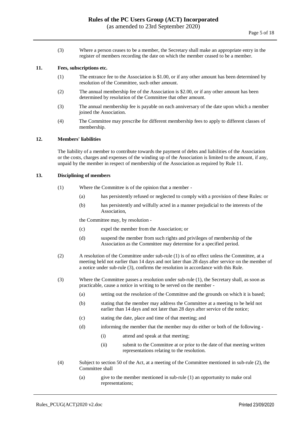(3) Where a person ceases to be a member, the Secretary shall make an appropriate entry in the register of members recording the date on which the member ceased to be a member.

#### **11. Fees, subscriptions etc.**

- (1) The entrance fee to the Association is \$1.00, or if any other amount has been determined by resolution of the Committee, such other amount.
- (2) The annual membership fee of the Association is \$2.00, or if any other amount has been determined by resolution of the Committee that other amount.
- (3) The annual membership fee is payable on each anniversary of the date upon which a member joined the Association.
- (4) The Committee may prescribe for different membership fees to apply to different classes of membership.

#### **12. Members' liabilities**

The liability of a member to contribute towards the payment of debts and liabilities of the Association or the costs, charges and expenses of the winding up of the Association is limited to the amount, if any, unpaid by the member in respect of membership of the Association as required by Rule 11.

#### **13. Disciplining of members**

- (1) Where the Committee is of the opinion that a member
	- (a) has persistently refused or neglected to comply with a provision of these Rules: or
	- (b) has persistently and wilfully acted in a manner prejudicial to the interests of the Association,

the Committee may, by resolution -

- (c) expel the member from the Association; or
- (d) suspend the member from such rights and privileges of membership of the Association as the Committee may determine for a specified period.
- (2) A resolution of the Committee under sub-rule (1) is of no effect unless the Committee, at a meeting held not earlier than 14 days and not later than 28 days after service on the member of a notice under sub-rule (3), confirms the resolution in accordance with this Rule.
- (3) Where the Committee passes a resolution under sub-rule (1), the Secretary shall, as soon as practicable, cause a notice in writing to be served on the member -
	- (a) setting out the resolution of the Committee and the grounds on which it is based;
	- (b) stating that the member may address the Committee at a meeting to be held not earlier than 14 days and not later than 28 days after service of the notice;
	- (c) stating the date, place and time of that meeting; and
	- (d) informing the member that the member may do either or both of the following
		- (i) attend and speak at that meeting;
		- (ii) submit to the Committee at or prior to the date of that meeting written representations relating to the resolution.
- (4) Subject to section 50 of the Act, at a meeting of the Committee mentioned in sub-rule (2), the Committee shall
	- (a) give to the member mentioned in sub-rule (1) an opportunity to make oral representations;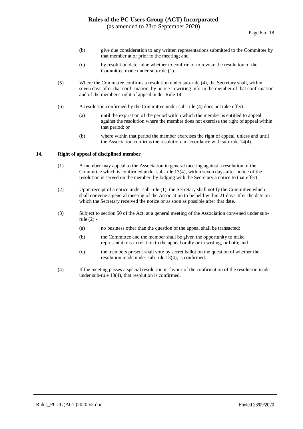- (b) give due consideration to any written representations submitted to the Committee by that member at or prior to the meeting; and
- (c) by resolution determine whether to confirm or to revoke the resolution of the Committee made under sub-rule (1).
- (5) Where the Committee confirms a resolution under sub-rule (4), the Secretary shall, within seven days after that confirmation, by notice in writing inform the member of that confirmation and of the member's right of appeal under Rule 14.
- (6) A resolution confirmed by the Committee under sub-rule (4) does not take effect
	- (a) until the expiration of the period within which the member is entitled to appeal against the resolution where the member does not exercise the right of appeal within that period; or
	- (b) where within that period the member exercises the right of appeal, unless and until the Association confirms the resolution in accordance with sub-rule 14(4).

#### **14. Right of appeal of disciplined member**

- (1) A member may appeal to the Association in general meeting against a resolution of the Committee which is confirmed under sub-rule 13(4), within seven days after notice of the resolution is served on the member, by lodging with the Secretary a notice to that effect.
- (2) Upon receipt of a notice under sub-rule (1), the Secretary shall notify the Committee which shall convene a general meeting of the Association to be held within 21 days after the date on which the Secretary received the notice or as soon as possible after that date.
- (3) Subject to section 50 of the Act, at a general meeting of the Association convened under subrule (2) -
	- (a) no business other than the question of the appeal shall be transacted;
	- (b) the Committee and the member shall be given the opportunity to make representations in relation to the appeal orally or in writing, or both; and
	- (c) the members present shall vote by secret ballot on the question of whether the resolution made under sub-rule 13(4), is confirmed.
- (4) If the meeting passes a special resolution in favour of the confirmation of the resolution made under sub-rule 13(4), that resolution is confirmed.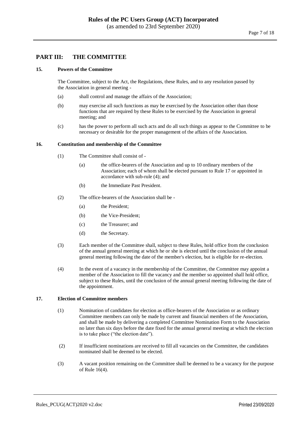### <span id="page-6-0"></span>**PART III: THE COMMITTEE**

#### **15. Powers of the Committee**

The Committee, subject to the Act, the Regulations, these Rules, and to any resolution passed by the Association in general meeting -

- (a) shall control and manage the affairs of the Association;
- (b) may exercise all such functions as may be exercised by the Association other than those functions that are required by these Rules to be exercised by the Association in general meeting; and
- (c) has the power to perform all such acts and do all such things as appear to the Committee to be necessary or desirable for the proper management of the affairs of the Association.

#### **16. Constitution and membership of the Committee**

- (1) The Committee shall consist of
	- (a) the office-bearers of the Association and up to 10 ordinary members of the Association; each of whom shall be elected pursuant to Rule 17 or appointed in accordance with sub-rule (4); and
	- (b) the Immediate Past President.
- (2) The office-bearers of the Association shall be
	- (a) the President;
	- (b) the Vice-President;
	- (c) the Treasurer; and
	- (d) the Secretary.
- (3) Each member of the Committee shall, subject to these Rules, hold office from the conclusion of the annual general meeting at which he or she is elected until the conclusion of the annual general meeting following the date of the member's election, but is eligible for re-election.
- (4) In the event of a vacancy in the membership of the Committee, the Committee may appoint a member of the Association to fill the vacancy and the member so appointed shall hold office, subject to these Rules, until the conclusion of the annual general meeting following the date of the appointment.

#### **17. Election of Committee members**

- (1) Nomination of candidates for election as office-bearers of the Association or as ordinary Committee members can only be made by current and financial members of the Association, and shall be made by delivering a completed Committee Nomination Form to the Association no later than six days before the date fixed for the annual general meeting at which the election is to take place ("the election date").
- (2) If insufficient nominations are received to fill all vacancies on the Committee, the candidates nominated shall be deemed to be elected.
- (3) A vacant position remaining on the Committee shall be deemed to be a vacancy for the purpose of Rule 16(4).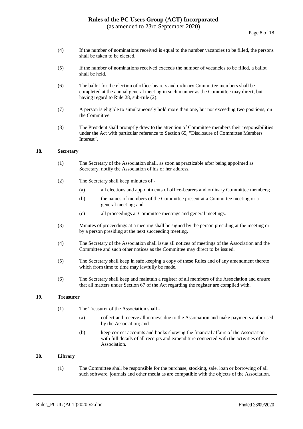- (4) If the number of nominations received is equal to the number vacancies to be filled, the persons shall be taken to be elected.
- (5) If the number of nominations received exceeds the number of vacancies to be filled, a ballot shall be held.
- (6) The ballot for the election of office-bearers and ordinary Committee members shall be completed at the annual general meeting in such manner as the Committee may direct, but having regard to Rule 28, sub-rule (2).
- (7) A person is eligible to simultaneously hold more than one, but not exceeding two positions, on the Committee.
- (8) The President shall promptly draw to the attention of Committee members their responsibilities under the Act with particular reference to Section 65, "Disclosure of Committee Members' Interest".

#### **18. Secretary**

- (1) The Secretary of the Association shall, as soon as practicable after being appointed as Secretary, notify the Association of his or her address.
- (2) The Secretary shall keep minutes of
	- (a) all elections and appointments of office-bearers and ordinary Committee members;
	- (b) the names of members of the Committee present at a Committee meeting or a general meeting; and
	- (c) all proceedings at Committee meetings and general meetings.
- (3) Minutes of proceedings at a meeting shall be signed by the person presiding at the meeting or by a person presiding at the next succeeding meeting.
- (4) The Secretary of the Association shall issue all notices of meetings of the Association and the Committee and such other notices as the Committee may direct to be issued.
- (5) The Secretary shall keep in safe keeping a copy of these Rules and of any amendment thereto which from time to time may lawfully be made.
- (6) The Secretary shall keep and maintain a register of all members of the Association and ensure that all matters under Section 67 of the Act regarding the register are complied with.

#### **19. Treasurer**

- (1) The Treasurer of the Association shall
	- (a) collect and receive all moneys due to the Association and make payments authorised by the Association; and
	- (b) keep correct accounts and books showing the financial affairs of the Association with full details of all receipts and expenditure connected with the activities of the Association.

### **20. Library**

(1) The Committee shall be responsible for the purchase, stocking, sale, loan or borrowing of all such software, journals and other media as are compatible with the objects of the Association.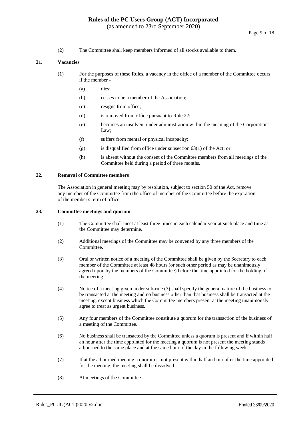(2) The Committee shall keep members informed of all stocks available to them.

#### **21. Vacancies**

- (1) For the purposes of these Rules, a vacancy in the office of a member of the Committee occurs if the member -
	- (a) dies;
	- (b) ceases to be a member of the Association;
	- (c) resigns from office;
	- (d) is removed from office pursuant to Rule 22;
	- (e) becomes an insolvent under administration within the meaning of the Corporations Law;
	- (f) suffers from mental or physical incapacity;
	- $(g)$  is disqualified from office under subsection 63(1) of the Act; or
	- (h) is absent without the consent of the Committee members from all meetings of the Committee held during a period of three months.

#### **22. Removal of Committee members**

The Association in general meeting may by resolution, subject to section 50 of the Act, remove any member of the Committee from the office of member of the Committee before the expiration of the member's term of office.

#### **23. Committee meetings and quorum**

- (1) The Committee shall meet at least three times in each calendar year at such place and time as the Committee may determine.
- (2) Additional meetings of the Committee may be convened by any three members of the Committee.
- (3) Oral or written notice of a meeting of the Committee shall be given by the Secretary to each member of the Committee at least 48 hours (or such other period as may be unanimously agreed upon by the members of the Committee) before the time appointed for the holding of the meeting.
- (4) Notice of a meeting given under sub-rule (3) shall specify the general nature of the business to be transacted at the meeting and no business other than that business shall be transacted at the meeting, except business which the Committee members present at the meeting unanimously agree to treat as urgent business.
- (5) Any four members of the Committee constitute a quorum for the transaction of the business of a meeting of the Committee.
- (6) No business shall be transacted by the Committee unless a quorum is present and if within half an hour after the time appointed for the meeting a quorum is not present the meeting stands adjourned to the same place and at the same hour of the day in the following week.
- (7) If at the adjourned meeting a quorum is not present within half an hour after the time appointed for the meeting, the meeting shall be dissolved.
- (8) At meetings of the Committee -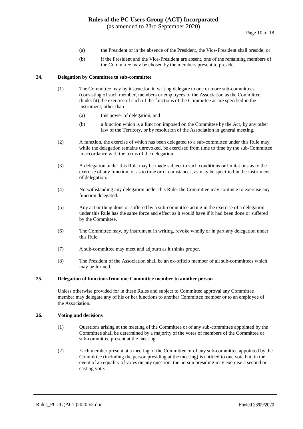- (a) the President or in the absence of the President, the Vice-President shall preside; or
- (b) if the President and the Vice-President are absent, one of the remaining members of the Committee may be chosen by the members present to preside.

#### **24. Delegation by Committee to sub-committee**

- (1) The Committee may by instruction in writing delegate to one or more sub-committees (consisting of such member, members or employees of the Association as the Committee thinks fit) the exercise of such of the functions of the Committee as are specified in the instrument, other than
	- (a) this power of delegation; and
	- (b) a function which is a function imposed on the Committee by the Act, by any other law of the Territory, or by resolution of the Association in general meeting.
- (2) A function, the exercise of which has been delegated to a sub-committee under this Rule may, while the delegation remains unrevoked, be exercised from time to time by the sub-Committee in accordance with the terms of the delegation.
- (3) A delegation under this Rule may be made subject to such conditions or limitations as to the exercise of any function, or as to time or circumstances, as may be specified in the instrument of delegation.
- (4) Notwithstanding any delegation under this Rule, the Committee may continue to exercise any function delegated.
- (5) Any act or thing done or suffered by a sub-committee acting in the exercise of a delegation under this Rule has the same force and effect as it would have if it had been done or suffered by the Committee.
- (6) The Committee may, by instrument in writing, revoke wholly or in part any delegation under this Rule.
- (7) A sub-committee may meet and adjourn as it thinks proper.
- (8) The President of the Association shall be an ex-officio member of all sub-committees which may be formed.

#### **25. Delegation of functions from one Committee member to another person**

Unless otherwise provided for in these Rules and subject to Committee approval any Committee member may delegate any of his or her functions to another Committee member or to an employee of the Association.

#### **26. Voting and decisions**

- (1) Questions arising at the meeting of the Committee or of any sub-committee appointed by the Committee shall be determined by a majority of the votes of members of the Committee or sub-committee present at the meeting.
- (2) Each member present at a meeting of the Committee or of any sub-committee appointed by the Committee (including the person presiding at the meeting) is entitled to one vote but, in the event of an equality of votes on any question, the person presiding may exercise a second or casting vote.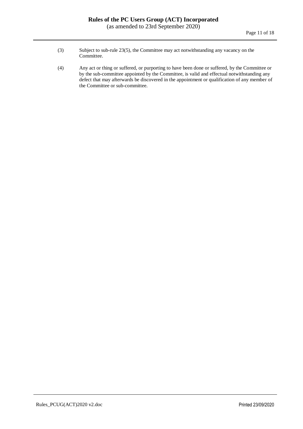- (3) Subject to sub-rule 23(5), the Committee may act notwithstanding any vacancy on the Committee.
- (4) Any act or thing or suffered, or purporting to have been done or suffered, by the Committee or by the sub-committee appointed by the Committee, is valid and effectual notwithstanding any defect that may afterwards be discovered in the appointment or qualification of any member of the Committee or sub-committee.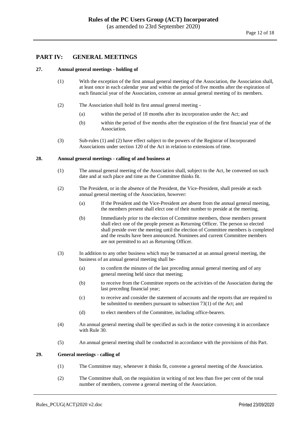#### <span id="page-11-0"></span>**PART IV: GENERAL MEETINGS**

#### **27. Annual general meetings - holding of**

- (1) With the exception of the first annual general meeting of the Association, the Association shall, at least once in each calendar year and within the period of five months after the expiration of each financial year of the Association, convene an annual general meeting of its members.
- (2) The Association shall hold its first annual general meeting
	- (a) within the period of 18 months after its incorporation under the Act; and
	- (b) within the period of five months after the expiration of the first financial year of the Association.
- (3) Sub-rules (1) and (2) have effect subject to the powers of the Registrar of Incorporated Associations under section 120 of the Act in relation to extensions of time.

#### **28. Annual general meetings - calling of and business at**

- (1) The annual general meeting of the Association shall, subject to the Act, be convened on such date and at such place and time as the Committee thinks fit.
- (2) The President, or in the absence of the President, the Vice-President, shall preside at each annual general meeting of the Association, however:
	- (a) If the President and the Vice-President are absent from the annual general meeting, the members present shall elect one of their number to preside at the meeting.
	- (b) Immediately prior to the election of Committee members, those members present shall elect one of the people present as Returning Officer. The person so elected shall preside over the meeting until the election of Committee members is completed and the results have been announced. Nominees and current Committee members are not permitted to act as Returning Officer.
- (3) In addition to any other business which may be transacted at an annual general meeting, the business of an annual general meeting shall be-
	- (a) to confirm the minutes of the last preceding annual general meeting and of any general meeting held since that meeting;
	- (b) to receive from the Committee reports on the activities of the Association during the last preceding financial year;
	- (c) to receive and consider the statement of accounts and the reports that are required to be submitted to members pursuant to subsection 73(1) of the Act; and
	- (d) to elect members of the Committee, including office-bearers.
- (4) An annual general meeting shall be specified as such in the notice convening it in accordance with Rule 30.
- (5) An annual general meeting shall be conducted in accordance with the provisions of this Part.

#### **29. General meetings - calling of**

- (1) The Committee may, whenever it thinks fit, convene a general meeting of the Association.
- (2) The Committee shall, on the requisition in writing of not less than five per cent of the total number of members, convene a general meeting of the Association.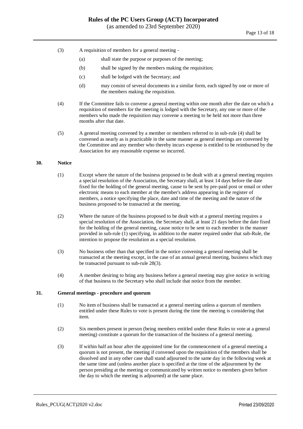- (3) A requisition of members for a general meeting
	- (a) shall state the purpose or purposes of the meeting;
	- (b) shall be signed by the members making the requisition;
	- (c) shall be lodged with the Secretary; and
	- (d) may consist of several documents in a similar form, each signed by one or more of the members making the requisition.
- (4) If the Committee fails to convene a general meeting within one month after the date on which a requisition of members for the meeting is lodged with the Secretary, any one or more of the members who made the requisition may convene a meeting to be held not more than three months after that date.
- (5) A general meeting convened by a member or members referred to in sub-rule (4) shall be convened as nearly as is practicable in the same manner as general meetings are convened by the Committee and any member who thereby incurs expense is entitled to be reimbursed by the Association for any reasonable expense so incurred.

#### **30. Notice**

- (1) Except where the nature of the business proposed to be dealt with at a general meeting requires a special resolution of the Association, the Secretary shall, at least 14 days before the date fixed for the holding of the general meeting, cause to be sent by pre-paid post or email or other electronic means to each member at the member's address appearing in the register of members, a notice specifying the place, date and time of the meeting and the nature of the business proposed to be transacted at the meeting.
- (2) Where the nature of the business proposed to be dealt with at a general meeting requires a special resolution of the Association, the Secretary shall, at least 21 days before the date fixed for the holding of the general meeting, cause notice to be sent to each member in the manner provided in sub-rule (1) specifying, in addition to the matter required under that sub-Rule, the intention to propose the resolution as a special resolution.
- (3) No business other than that specified in the notice convening a general meeting shall be transacted at the meeting except, in the case of an annual general meeting, business which may be transacted pursuant to sub-rule 28(3).
- (4) A member desiring to bring any business before a general meeting may give notice in writing of that business to the Secretary who shall include that notice from the member.

#### **31. General meetings - procedure and quorum**

- (1) No item of business shall be transacted at a general meeting unless a quorum of members entitled under these Rules to vote is present during the time the meeting is considering that item.
- (2) Six members present in person (being members entitled under these Rules to vote at a general meeting) constitute a quorum for the transaction of the business of a general meeting.
- (3) If within half an hour after the appointed time for the commencement of a general meeting a quorum is not present, the meeting if convened upon the requisition of the members shall be dissolved and in any other case shall stand adjourned to the same day in the following week at the same time and (unless another place is specified at the time of the adjournment by the person presiding at the meeting or communicated by written notice to members given before the day to which the meeting is adjourned) at the same place.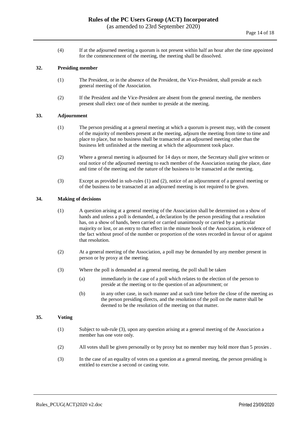(4) If at the adjourned meeting a quorum is not present within half an hour after the time appointed for the commencement of the meeting, the meeting shall be dissolved.

#### **32. Presiding member**

- (1) The President, or in the absence of the President, the Vice-President, shall preside at each general meeting of the Association.
- (2) If the President and the Vice-President are absent from the general meeting, the members present shall elect one of their number to preside at the meeting.

#### **33. Adjournment**

- (1) The person presiding at a general meeting at which a quorum is present may, with the consent of the majority of members present at the meeting, adjourn the meeting from time to time and place to place, but no business shall be transacted at an adjourned meeting other than the business left unfinished at the meeting at which the adjournment took place.
- (2) Where a general meeting is adjourned for 14 days or more, the Secretary shall give written or oral notice of the adjourned meeting to each member of the Association stating the place, date and time of the meeting and the nature of the business to be transacted at the meeting.
- (3) Except as provided in sub-rules (1) and (2), notice of an adjournment of a general meeting or of the business to be transacted at an adjourned meeting is not required to be given.

#### **34. Making of decisions**

- (1) A question arising at a general meeting of the Association shall be determined on a show of hands and unless a poll is demanded, a declaration by the person presiding that a resolution has, on a show of hands, been carried or carried unanimously or carried by a particular majority or lost, or an entry to that effect in the minute book of the Association, is evidence of the fact without proof of the number or proportion of the votes recorded in favour of or against that resolution.
- (2) At a general meeting of the Association, a poll may be demanded by any member present in person or by proxy at the meeting.
- (3) Where the poll is demanded at a general meeting, the poll shall be taken
	- (a) immediately in the case of a poll which relates to the election of the person to preside at the meeting or to the question of an adjournment; or
	- (b) in any other case, in such manner and at such time before the close of the meeting as the person presiding directs, and the resolution of the poll on the matter shall be deemed to be the resolution of the meeting on that matter.

#### **35. Voting**

- (1) Subject to sub-rule (3), upon any question arising at a general meeting of the Association a member has one vote only.
- (2) All votes shall be given personally or by proxy but no member may hold more than 5 proxies .
- (3) In the case of an equality of votes on a question at a general meeting, the person presiding is entitled to exercise a second or casting vote.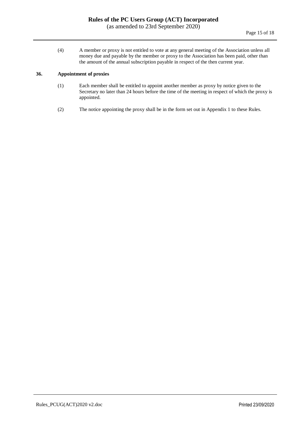(4) A member or proxy is not entitled to vote at any general meeting of the Association unless all money due and payable by the member or proxy to the Association has been paid, other than the amount of the annual subscription payable in respect of the then current year.

#### **36. Appointment of proxies**

- (1) Each member shall be entitled to appoint another member as proxy by notice given to the Secretary no later than 24 hours before the time of the meeting in respect of which the proxy is appointed.
- (2) The notice appointing the proxy shall be in the form set out in Appendix 1 to these Rules.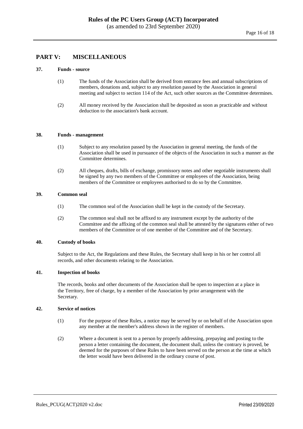## <span id="page-15-0"></span>**PART V: MISCELLANEOUS**

#### **37. Funds - source**

- (1) The funds of the Association shall be derived from entrance fees and annual subscriptions of members, donations and, subject to any resolution passed by the Association in general meeting and subject to section 114 of the Act, such other sources as the Committee determines.
- (2) All money received by the Association shall be deposited as soon as practicable and without deduction to the association's bank account.

#### **38. Funds - management**

- (1) Subject to any resolution passed by the Association in general meeting, the funds of the Association shall be used in pursuance of the objects of the Association in such a manner as the Committee determines.
- (2) All cheques, drafts, bills of exchange, promissory notes and other negotiable instruments shall be signed by any two members of the Committee or employees of the Association, being members of the Committee or employees authorised to do so by the Committee.

#### **39. Common seal**

- (1) The common seal of the Association shall be kept in the custody of the Secretary.
- (2) The common seal shall not be affixed to any instrument except by the authority of the Committee and the affixing of the common seal shall be attested by the signatures either of two members of the Committee or of one member of the Committee and of the Secretary.

#### **40. Custody of books**

Subject to the Act, the Regulations and these Rules, the Secretary shall keep in his or her control all records, and other documents relating to the Association.

#### **41. Inspection of books**

The records, books and other documents of the Association shall be open to inspection at a place in the Territory, free of charge, by a member of the Association by prior arrangement with the Secretary.

#### **42. Service of notices**

- (1) For the purpose of these Rules, a notice may be served by or on behalf of the Association upon any member at the member's address shown in the register of members.
- (2) Where a document is sent to a person by properly addressing, prepaying and posting to the person a letter containing the document, the document shall, unless the contrary is proved, be deemed for the purposes of these Rules to have been served on the person at the time at which the letter would have been delivered in the ordinary course of post.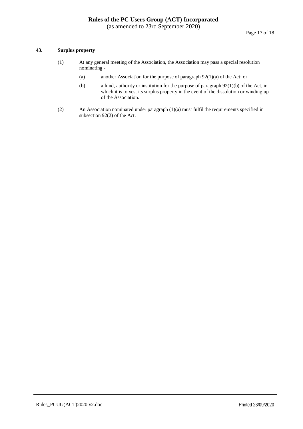#### **43. Surplus property**

- (1) At any general meeting of the Association, the Association may pass a special resolution nominating -
	- (a) another Association for the purpose of paragraph 92(1)(a) of the Act; or
	- (b) a fund, authority or institution for the purpose of paragraph 92(1)(b) of the Act, in which it is to vest its surplus property in the event of the dissolution or winding up of the Association.
- (2) An Association nominated under paragraph (1)(a) must fulfil the requirements specified in subsection 92(2) of the Act.